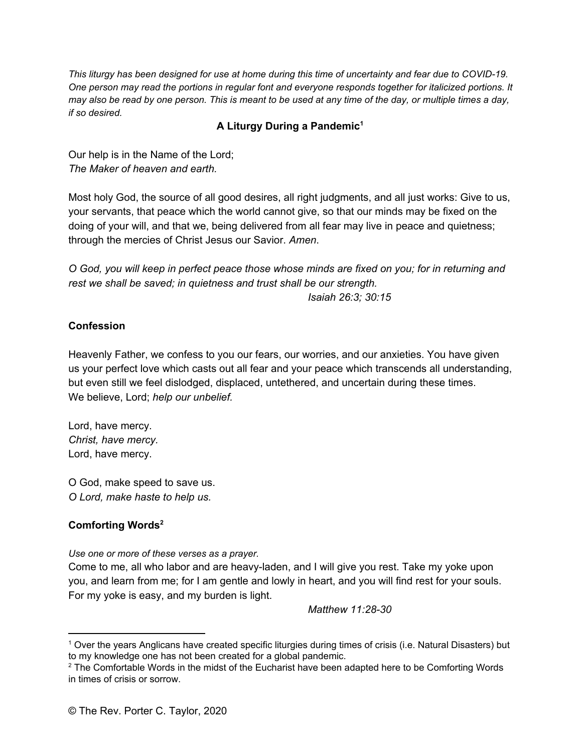This liturgy has been designed for use at home during this time of uncertainty and fear due to COVID-19. One person may read the portions in regular font and everyone responds together for italicized portions. It may also be read by one person. This is meant to be used at any time of the day, or multiple times a day, *if so desired.*

## **A Liturgy During a Pandemic 1**

Our help is in the Name of the Lord; *The Maker of heaven and earth.*

Most holy God, the source of all good desires, all right judgments, and all just works: Give to us, your servants, that peace which the world cannot give, so that our minds may be fixed on the doing of your will, and that we, being delivered from all fear may live in peace and quietness; through the mercies of Christ Jesus our Savior. *Amen*.

O God, you will keep in perfect peace those whose minds are fixed on you; for in returning and *rest we shall be saved; in quietness and trust shall be our strength.*

*Isaiah 26:3; 30:15*

### **Confession**

Heavenly Father, we confess to you our fears, our worries, and our anxieties. You have given us your perfect love which casts out all fear and your peace which transcends all understanding, but even still we feel dislodged, displaced, untethered, and uncertain during these times. We believe, Lord; *help our unbelief.*

Lord, have mercy. *Christ, have mercy.* Lord, have mercy.

O God, make speed to save us. *O Lord, make haste to help us.*

## **Comforting Words 2**

*Use one or more of these verses as a prayer.*

Come to me, all who labor and are heavy-laden, and I will give you rest. Take my yoke upon you, and learn from me; for I am gentle and lowly in heart, and you will find rest for your souls. For my yoke is easy, and my burden is light.

*Matthew 11:28-30*

<sup>1</sup> Over the years Anglicans have created specific liturgies during times of crisis (i.e. Natural Disasters) but to my knowledge one has not been created for a global pandemic.

<sup>&</sup>lt;sup>2</sup> The Comfortable Words in the midst of the Eucharist have been adapted here to be Comforting Words in times of crisis or sorrow.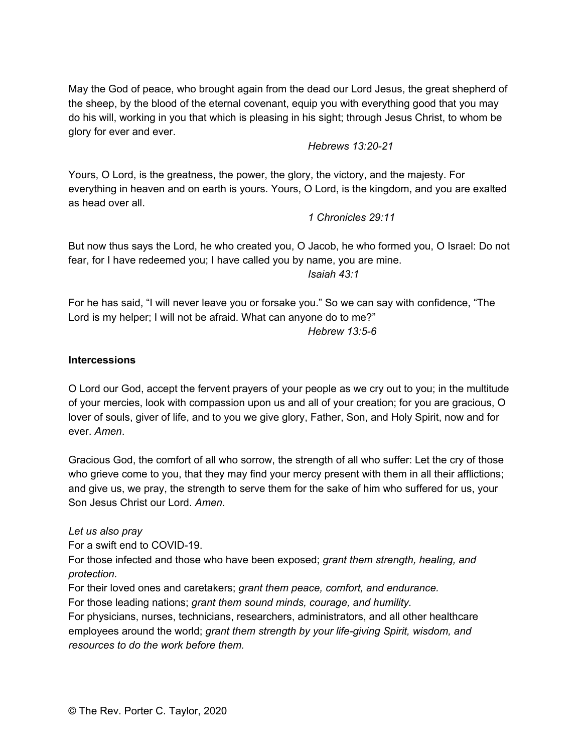May the God of peace, who brought again from the dead our Lord Jesus, the great shepherd of the sheep, by the blood of the eternal covenant, equip you with everything good that you may do his will, working in you that which is pleasing in his sight; through Jesus Christ, to whom be glory for ever and ever.

### *Hebrews 13:20-21*

Yours, O Lord, is the greatness, the power, the glory, the victory, and the majesty. For everything in heaven and on earth is yours. Yours, O Lord, is the kingdom, and you are exalted as head over all.

*1 Chronicles 29:11*

But now thus says the Lord, he who created you, O Jacob, he who formed you, O Israel: Do not fear, for I have redeemed you; I have called you by name, you are mine.

*Isaiah 43:1*

For he has said, "I will never leave you or forsake you." So we can say with confidence, "The Lord is my helper; I will not be afraid. What can anyone do to me?" *Hebrew 13:5-6*

### **Intercessions**

O Lord our God, accept the fervent prayers of your people as we cry out to you; in the multitude of your mercies, look with compassion upon us and all of your creation; for you are gracious, O lover of souls, giver of life, and to you we give glory, Father, Son, and Holy Spirit, now and for ever. *Amen*.

Gracious God, the comfort of all who sorrow, the strength of all who suffer: Let the cry of those who grieve come to you, that they may find your mercy present with them in all their afflictions; and give us, we pray, the strength to serve them for the sake of him who suffered for us, your Son Jesus Christ our Lord. *Amen*.

### *Let us also pray*

For a swift end to COVID-19.

For those infected and those who have been exposed; *grant them strength, healing, and protection.*

For their loved ones and caretakers; *grant them peace, comfort, and endurance.*

For those leading nations; *grant them sound minds, courage, and humility.*

For physicians, nurses, technicians, researchers, administrators, and all other healthcare employees around the world; *grant them strength by your life-giving Spirit, wisdom, and resources to do the work before them.*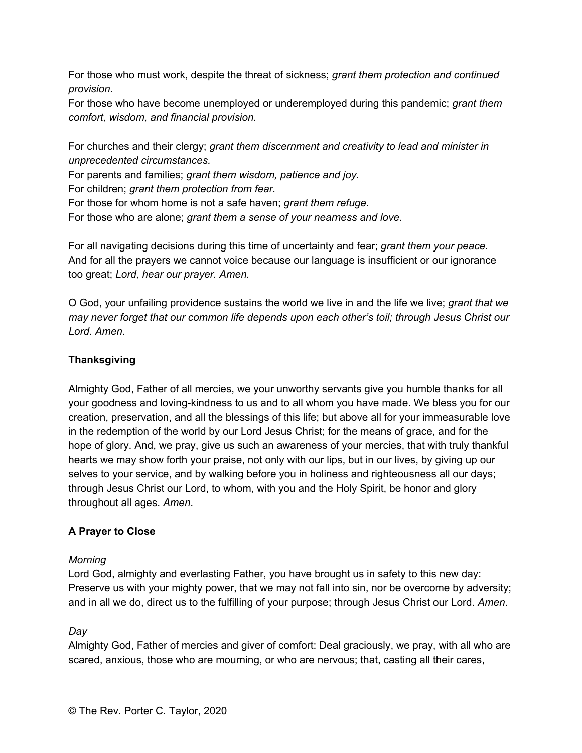For those who must work, despite the threat of sickness; *grant them protection and continued provision.*

For those who have become unemployed or underemployed during this pandemic; *grant them comfort, wisdom, and financial provision.*

For churches and their clergy; *grant them discernment and creativity to lead and minister in unprecedented circumstances.*

For parents and families; *grant them wisdom, patience and joy.*

For children; *grant them protection from fear.*

For those for whom home is not a safe haven; *grant them refuge.*

For those who are alone; *grant them a sense of your nearness and love.*

For all navigating decisions during this time of uncertainty and fear; *grant them your peace.* And for all the prayers we cannot voice because our language is insufficient or our ignorance too great; *Lord, hear our prayer. Amen.*

O God, your unfailing providence sustains the world we live in and the life we live; *grant that we may never forget that our common life depends upon each other's toil; through Jesus Christ our Lord. Amen*.

# **Thanksgiving**

Almighty God, Father of all mercies, we your unworthy servants give you humble thanks for all your goodness and loving-kindness to us and to all whom you have made. We bless you for our creation, preservation, and all the blessings of this life; but above all for your immeasurable love in the redemption of the world by our Lord Jesus Christ; for the means of grace, and for the hope of glory. And, we pray, give us such an awareness of your mercies, that with truly thankful hearts we may show forth your praise, not only with our lips, but in our lives, by giving up our selves to your service, and by walking before you in holiness and righteousness all our days; through Jesus Christ our Lord, to whom, with you and the Holy Spirit, be honor and glory throughout all ages. *Amen*.

# **A Prayer to Close**

# *Morning*

Lord God, almighty and everlasting Father, you have brought us in safety to this new day: Preserve us with your mighty power, that we may not fall into sin, nor be overcome by adversity; and in all we do, direct us to the fulfilling of your purpose; through Jesus Christ our Lord. *Amen*.

# *Day*

Almighty God, Father of mercies and giver of comfort: Deal graciously, we pray, with all who are scared, anxious, those who are mourning, or who are nervous; that, casting all their cares,